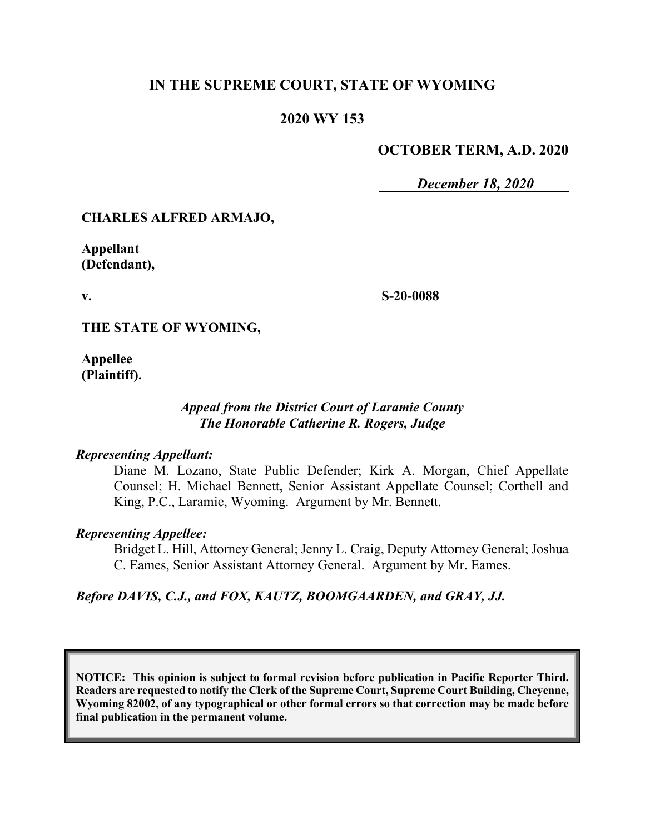# **IN THE SUPREME COURT, STATE OF WYOMING**

# **2020 WY 153**

# **OCTOBER TERM, A.D. 2020**

*December 18, 2020*

## **CHARLES ALFRED ARMAJO,**

**Appellant (Defendant),**

**v.**

**S-20-0088**

**THE STATE OF WYOMING,**

**Appellee (Plaintiff).**

## *Appeal from the District Court of Laramie County The Honorable Catherine R. Rogers, Judge*

### *Representing Appellant:*

Diane M. Lozano, State Public Defender; Kirk A. Morgan, Chief Appellate Counsel; H. Michael Bennett, Senior Assistant Appellate Counsel; Corthell and King, P.C., Laramie, Wyoming. Argument by Mr. Bennett.

### *Representing Appellee:*

Bridget L. Hill, Attorney General; Jenny L. Craig, Deputy Attorney General; Joshua C. Eames, Senior Assistant Attorney General. Argument by Mr. Eames.

*Before DAVIS, C.J., and FOX, KAUTZ, BOOMGAARDEN, and GRAY, JJ.*

**NOTICE: This opinion is subject to formal revision before publication in Pacific Reporter Third. Readers are requested to notify the Clerk of the Supreme Court, Supreme Court Building, Cheyenne, Wyoming 82002, of any typographical or other formal errors so that correction may be made before final publication in the permanent volume.**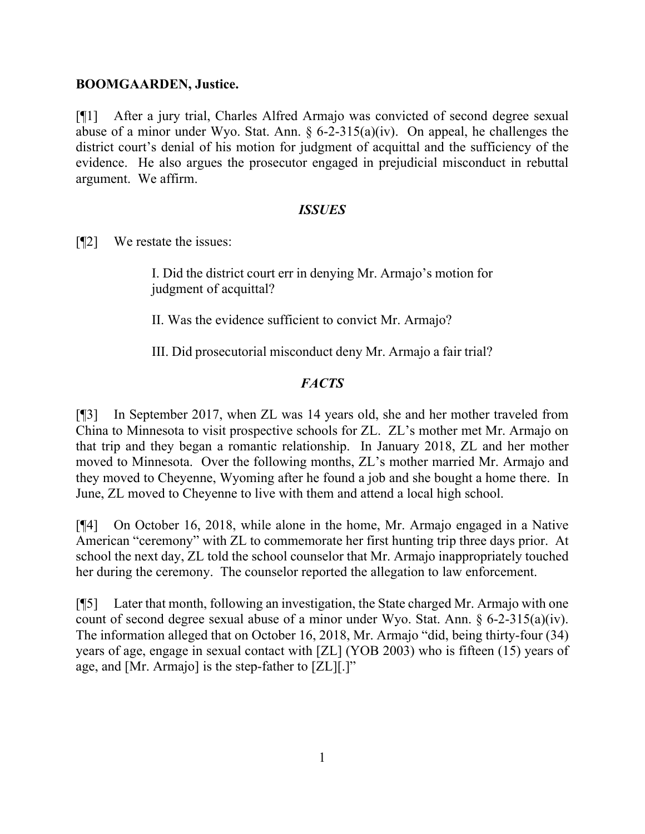## **BOOMGAARDEN, Justice.**

[¶1] After a jury trial, Charles Alfred Armajo was convicted of second degree sexual abuse of a minor under Wyo. Stat. Ann.  $\S 6$ -2-315(a)(iv). On appeal, he challenges the district court's denial of his motion for judgment of acquittal and the sufficiency of the evidence. He also argues the prosecutor engaged in prejudicial misconduct in rebuttal argument. We affirm.

### *ISSUES*

[¶2] We restate the issues:

I. Did the district court err in denying Mr. Armajo's motion for judgment of acquittal?

II. Was the evidence sufficient to convict Mr. Armajo?

III. Did prosecutorial misconduct deny Mr. Armajo a fair trial?

# *FACTS*

[¶3] In September 2017, when ZL was 14 years old, she and her mother traveled from China to Minnesota to visit prospective schools for ZL. ZL's mother met Mr. Armajo on that trip and they began a romantic relationship. In January 2018, ZL and her mother moved to Minnesota. Over the following months, ZL's mother married Mr. Armajo and they moved to Cheyenne, Wyoming after he found a job and she bought a home there. In June, ZL moved to Cheyenne to live with them and attend a local high school.

[¶4] On October 16, 2018, while alone in the home, Mr. Armajo engaged in a Native American "ceremony" with ZL to commemorate her first hunting trip three days prior. At school the next day, ZL told the school counselor that Mr. Armajo inappropriately touched her during the ceremony. The counselor reported the allegation to law enforcement.

[¶5] Later that month, following an investigation, the State charged Mr. Armajo with one count of second degree sexual abuse of a minor under Wyo. Stat. Ann. § 6-2-315(a)(iv). The information alleged that on October 16, 2018, Mr. Armajo "did, being thirty-four (34) years of age, engage in sexual contact with [ZL] (YOB 2003) who is fifteen (15) years of age, and [Mr. Armajo] is the step-father to [ZL][.]"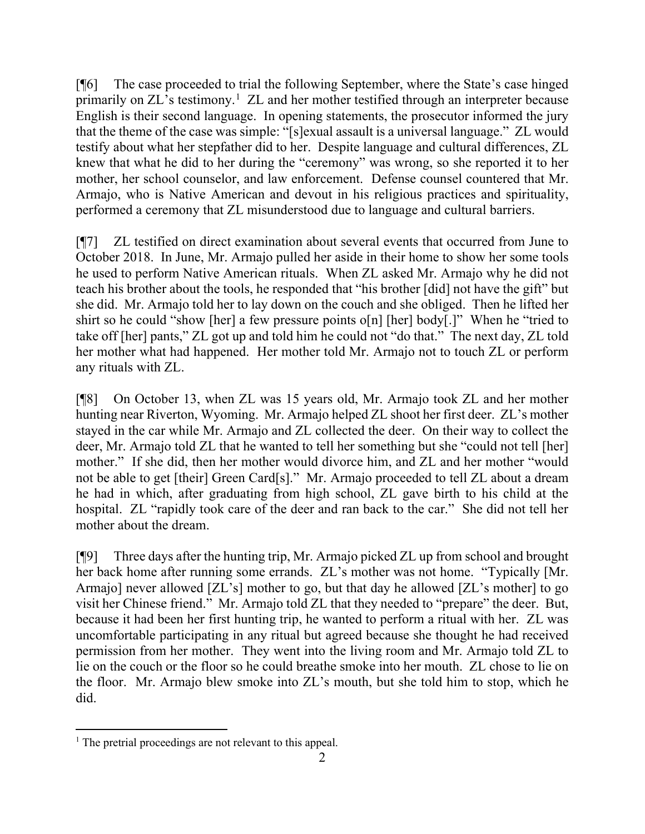[¶6] The case proceeded to trial the following September, where the State's case hinged primarily on ZL's testimony.<sup>[1](#page-2-0)</sup> ZL and her mother testified through an interpreter because English is their second language. In opening statements, the prosecutor informed the jury that the theme of the case was simple: "[s]exual assault is a universal language." ZL would testify about what her stepfather did to her. Despite language and cultural differences, ZL knew that what he did to her during the "ceremony" was wrong, so she reported it to her mother, her school counselor, and law enforcement. Defense counsel countered that Mr. Armajo, who is Native American and devout in his religious practices and spirituality, performed a ceremony that ZL misunderstood due to language and cultural barriers.

[¶7] ZL testified on direct examination about several events that occurred from June to October 2018. In June, Mr. Armajo pulled her aside in their home to show her some tools he used to perform Native American rituals. When ZL asked Mr. Armajo why he did not teach his brother about the tools, he responded that "his brother [did] not have the gift" but she did. Mr. Armajo told her to lay down on the couch and she obliged. Then he lifted her shirt so he could "show [her] a few pressure points o[n] [her] body[.]" When he "tried to take off [her] pants," ZL got up and told him he could not "do that." The next day, ZL told her mother what had happened. Her mother told Mr. Armajo not to touch ZL or perform any rituals with ZL.

[¶8] On October 13, when ZL was 15 years old, Mr. Armajo took ZL and her mother hunting near Riverton, Wyoming. Mr. Armajo helped ZL shoot her first deer. ZL's mother stayed in the car while Mr. Armajo and ZL collected the deer. On their way to collect the deer, Mr. Armajo told ZL that he wanted to tell her something but she "could not tell [her] mother." If she did, then her mother would divorce him, and ZL and her mother "would not be able to get [their] Green Card[s]." Mr. Armajo proceeded to tell ZL about a dream he had in which, after graduating from high school, ZL gave birth to his child at the hospital. ZL "rapidly took care of the deer and ran back to the car." She did not tell her mother about the dream.

[¶9] Three days after the hunting trip, Mr. Armajo picked ZL up from school and brought her back home after running some errands. ZL's mother was not home. "Typically [Mr. Armajo] never allowed [ZL's] mother to go, but that day he allowed [ZL's mother] to go visit her Chinese friend." Mr. Armajo told ZL that they needed to "prepare" the deer. But, because it had been her first hunting trip, he wanted to perform a ritual with her. ZL was uncomfortable participating in any ritual but agreed because she thought he had received permission from her mother. They went into the living room and Mr. Armajo told ZL to lie on the couch or the floor so he could breathe smoke into her mouth. ZL chose to lie on the floor. Mr. Armajo blew smoke into ZL's mouth, but she told him to stop, which he did.

<span id="page-2-0"></span><sup>&</sup>lt;sup>1</sup> The pretrial proceedings are not relevant to this appeal.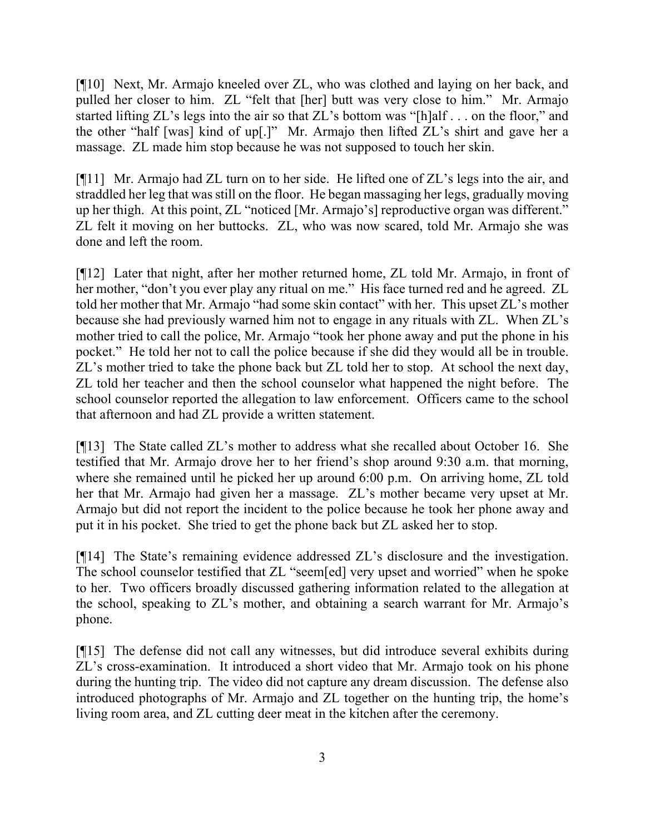[¶10] Next, Mr. Armajo kneeled over ZL, who was clothed and laying on her back, and pulled her closer to him. ZL "felt that [her] butt was very close to him." Mr. Armajo started lifting ZL's legs into the air so that ZL's bottom was "[h]alf . . . on the floor," and the other "half [was] kind of up[.]" Mr. Armajo then lifted ZL's shirt and gave her a massage. ZL made him stop because he was not supposed to touch her skin.

[¶11] Mr. Armajo had ZL turn on to her side. He lifted one of ZL's legs into the air, and straddled her leg that was still on the floor. He began massaging her legs, gradually moving up her thigh. At this point, ZL "noticed [Mr. Armajo's] reproductive organ was different." ZL felt it moving on her buttocks. ZL, who was now scared, told Mr. Armajo she was done and left the room.

[¶12] Later that night, after her mother returned home, ZL told Mr. Armajo, in front of her mother, "don't you ever play any ritual on me." His face turned red and he agreed. ZL told her mother that Mr. Armajo "had some skin contact" with her. This upset ZL's mother because she had previously warned him not to engage in any rituals with ZL. When ZL's mother tried to call the police, Mr. Armajo "took her phone away and put the phone in his pocket." He told her not to call the police because if she did they would all be in trouble. ZL's mother tried to take the phone back but ZL told her to stop. At school the next day, ZL told her teacher and then the school counselor what happened the night before. The school counselor reported the allegation to law enforcement. Officers came to the school that afternoon and had ZL provide a written statement.

[¶13] The State called ZL's mother to address what she recalled about October 16. She testified that Mr. Armajo drove her to her friend's shop around 9:30 a.m. that morning, where she remained until he picked her up around 6:00 p.m. On arriving home, ZL told her that Mr. Armajo had given her a massage. ZL's mother became very upset at Mr. Armajo but did not report the incident to the police because he took her phone away and put it in his pocket. She tried to get the phone back but ZL asked her to stop.

[¶14] The State's remaining evidence addressed ZL's disclosure and the investigation. The school counselor testified that ZL "seem[ed] very upset and worried" when he spoke to her. Two officers broadly discussed gathering information related to the allegation at the school, speaking to ZL's mother, and obtaining a search warrant for Mr. Armajo's phone.

[¶15] The defense did not call any witnesses, but did introduce several exhibits during ZL's cross-examination. It introduced a short video that Mr. Armajo took on his phone during the hunting trip. The video did not capture any dream discussion. The defense also introduced photographs of Mr. Armajo and ZL together on the hunting trip, the home's living room area, and ZL cutting deer meat in the kitchen after the ceremony.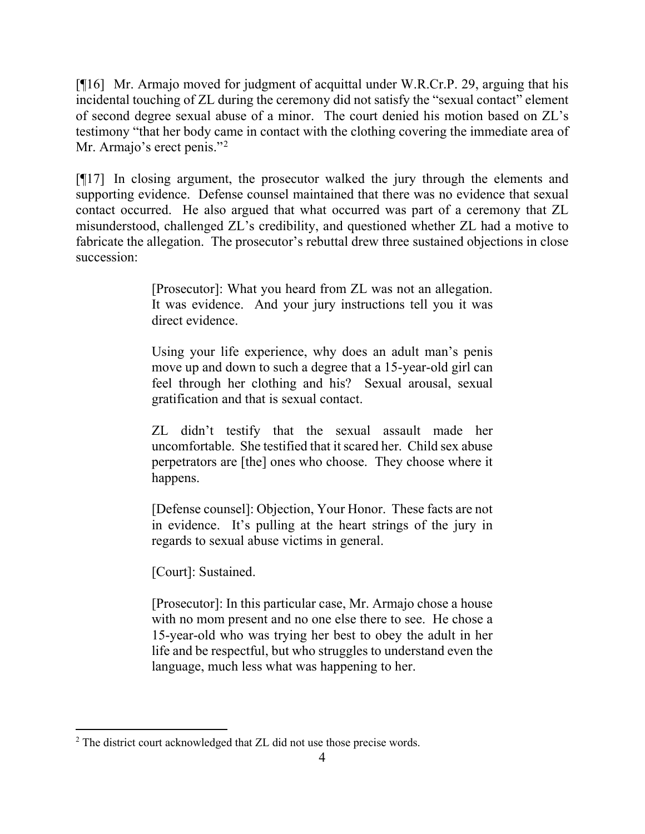[¶16] Mr. Armajo moved for judgment of acquittal under W.R.Cr.P. 29, arguing that his incidental touching of ZL during the ceremony did not satisfy the "sexual contact" element of second degree sexual abuse of a minor. The court denied his motion based on ZL's testimony "that her body came in contact with the clothing covering the immediate area of Mr. Armajo's erect penis."<sup>[2](#page-4-0)</sup>

[¶17] In closing argument, the prosecutor walked the jury through the elements and supporting evidence. Defense counsel maintained that there was no evidence that sexual contact occurred. He also argued that what occurred was part of a ceremony that ZL misunderstood, challenged ZL's credibility, and questioned whether ZL had a motive to fabricate the allegation. The prosecutor's rebuttal drew three sustained objections in close succession:

> [Prosecutor]: What you heard from ZL was not an allegation. It was evidence. And your jury instructions tell you it was direct evidence.

> Using your life experience, why does an adult man's penis move up and down to such a degree that a 15-year-old girl can feel through her clothing and his? Sexual arousal, sexual gratification and that is sexual contact.

> ZL didn't testify that the sexual assault made her uncomfortable. She testified that it scared her. Child sex abuse perpetrators are [the] ones who choose. They choose where it happens.

> [Defense counsel]: Objection, Your Honor. These facts are not in evidence. It's pulling at the heart strings of the jury in regards to sexual abuse victims in general.

[Court]: Sustained.

[Prosecutor]: In this particular case, Mr. Armajo chose a house with no mom present and no one else there to see. He chose a 15-year-old who was trying her best to obey the adult in her life and be respectful, but who struggles to understand even the language, much less what was happening to her.

<span id="page-4-0"></span><sup>&</sup>lt;sup>2</sup> The district court acknowledged that ZL did not use those precise words.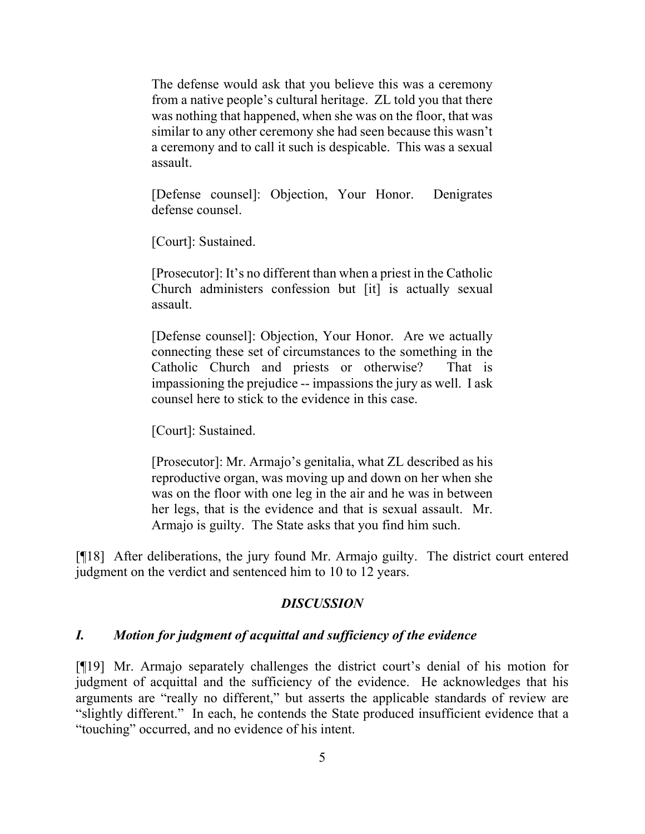The defense would ask that you believe this was a ceremony from a native people's cultural heritage. ZL told you that there was nothing that happened, when she was on the floor, that was similar to any other ceremony she had seen because this wasn't a ceremony and to call it such is despicable. This was a sexual assault.

[Defense counsel]: Objection, Your Honor. Denigrates defense counsel.

[Court]: Sustained.

[Prosecutor]: It's no different than when a priest in the Catholic Church administers confession but [it] is actually sexual assault.

[Defense counsel]: Objection, Your Honor. Are we actually connecting these set of circumstances to the something in the Catholic Church and priests or otherwise? That is impassioning the prejudice -- impassions the jury as well. I ask counsel here to stick to the evidence in this case.

[Court]: Sustained.

[Prosecutor]: Mr. Armajo's genitalia, what ZL described as his reproductive organ, was moving up and down on her when she was on the floor with one leg in the air and he was in between her legs, that is the evidence and that is sexual assault. Mr. Armajo is guilty. The State asks that you find him such.

[¶18] After deliberations, the jury found Mr. Armajo guilty. The district court entered judgment on the verdict and sentenced him to 10 to 12 years.

### *DISCUSSION*

#### *I. Motion for judgment of acquittal and sufficiency of the evidence*

[¶19] Mr. Armajo separately challenges the district court's denial of his motion for judgment of acquittal and the sufficiency of the evidence. He acknowledges that his arguments are "really no different," but asserts the applicable standards of review are "slightly different." In each, he contends the State produced insufficient evidence that a "touching" occurred, and no evidence of his intent.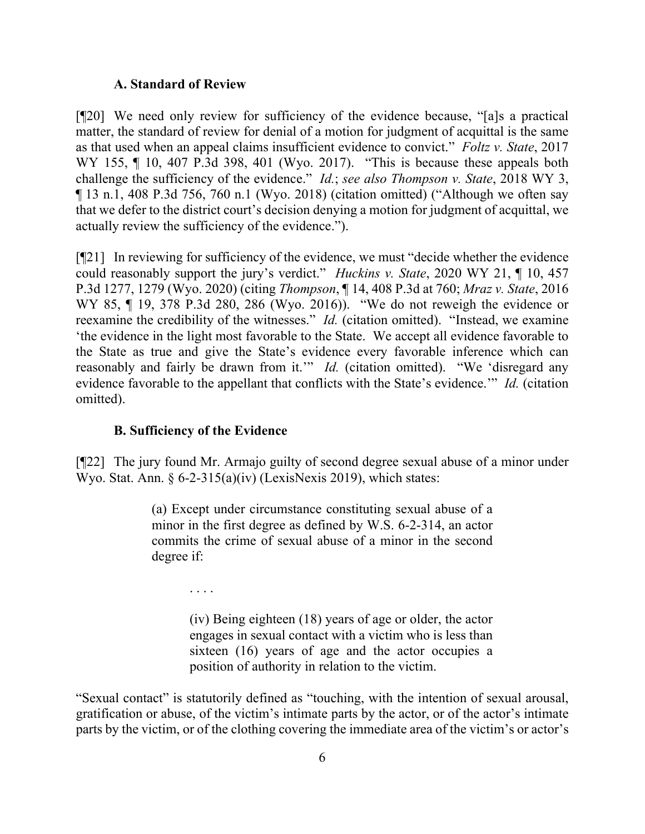#### **A. Standard of Review**

[¶20] We need only review for sufficiency of the evidence because, "[a]s a practical matter, the standard of review for denial of a motion for judgment of acquittal is the same as that used when an appeal claims insufficient evidence to convict." *Foltz v. State*, 2017 WY 155, ¶ 10, 407 P.3d 398, 401 (Wyo. 2017). "This is because these appeals both challenge the sufficiency of the evidence." *Id.*; *see also Thompson v. State*, 2018 WY 3, ¶ 13 n.1, 408 P.3d 756, 760 n.1 (Wyo. 2018) (citation omitted) ("Although we often say that we defer to the district court's decision denying a motion for judgment of acquittal, we actually review the sufficiency of the evidence.").

[¶21] In reviewing for sufficiency of the evidence, we must "decide whether the evidence could reasonably support the jury's verdict." *Huckins v. State*, 2020 WY 21, ¶ 10, 457 P.3d 1277, 1279 (Wyo. 2020) (citing *Thompson*, ¶ 14, 408 P.3d at 760; *Mraz v. State*, 2016 WY 85, ¶ 19, 378 P.3d 280, 286 (Wyo. 2016)). "We do not reweigh the evidence or reexamine the credibility of the witnesses." *Id.* (citation omitted). "Instead, we examine 'the evidence in the light most favorable to the State. We accept all evidence favorable to the State as true and give the State's evidence every favorable inference which can reasonably and fairly be drawn from it." *Id.* (citation omitted). "We 'disregard any evidence favorable to the appellant that conflicts with the State's evidence.'" *Id.* (citation omitted).

### **B. Sufficiency of the Evidence**

[¶22] The jury found Mr. Armajo guilty of second degree sexual abuse of a minor under Wyo. Stat. Ann. § 6-2-315(a)(iv) (LexisNexis 2019), which states:

> (a) Except under circumstance constituting sexual abuse of a minor in the first degree as defined by W.S. 6-2-314, an actor commits the crime of sexual abuse of a minor in the second degree if:

> > . . . .

(iv) Being eighteen (18) years of age or older, the actor engages in sexual contact with a victim who is less than sixteen (16) years of age and the actor occupies a position of authority in relation to the victim.

"Sexual contact" is statutorily defined as "touching, with the intention of sexual arousal, gratification or abuse, of the victim's intimate parts by the actor, or of the actor's intimate parts by the victim, or of the clothing covering the immediate area of the victim's or actor's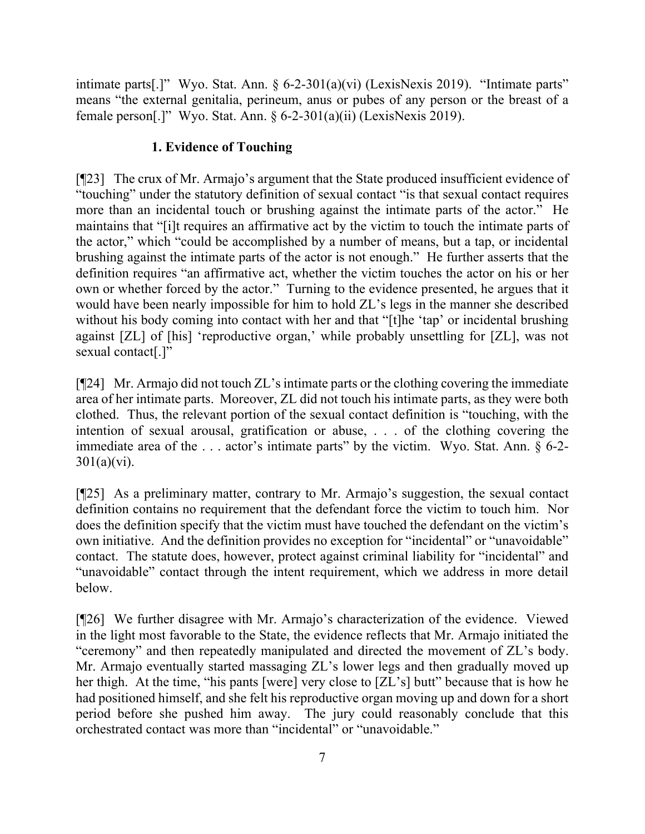intimate parts[.]" Wyo. Stat. Ann. § 6-2-301(a)(vi) (LexisNexis 2019). "Intimate parts" means "the external genitalia, perineum, anus or pubes of any person or the breast of a female person[.]" Wyo. Stat. Ann.  $\S 6-2-301(a)(ii)$  (LexisNexis 2019).

# **1. Evidence of Touching**

[¶23] The crux of Mr. Armajo's argument that the State produced insufficient evidence of "touching" under the statutory definition of sexual contact "is that sexual contact requires more than an incidental touch or brushing against the intimate parts of the actor." He maintains that "[i]t requires an affirmative act by the victim to touch the intimate parts of the actor," which "could be accomplished by a number of means, but a tap, or incidental brushing against the intimate parts of the actor is not enough." He further asserts that the definition requires "an affirmative act, whether the victim touches the actor on his or her own or whether forced by the actor." Turning to the evidence presented, he argues that it would have been nearly impossible for him to hold ZL's legs in the manner she described without his body coming into contact with her and that "[t]he 'tap' or incidental brushing against [ZL] of [his] 'reproductive organ,' while probably unsettling for [ZL], was not sexual contact[.]"

[¶24] Mr. Armajo did not touch ZL's intimate parts or the clothing covering the immediate area of her intimate parts. Moreover, ZL did not touch his intimate parts, as they were both clothed. Thus, the relevant portion of the sexual contact definition is "touching, with the intention of sexual arousal, gratification or abuse, . . . of the clothing covering the immediate area of the . . . actor's intimate parts" by the victim. Wyo. Stat. Ann. § 6-2-  $301(a)(vi)$ .

[¶25] As a preliminary matter, contrary to Mr. Armajo's suggestion, the sexual contact definition contains no requirement that the defendant force the victim to touch him. Nor does the definition specify that the victim must have touched the defendant on the victim's own initiative. And the definition provides no exception for "incidental" or "unavoidable" contact. The statute does, however, protect against criminal liability for "incidental" and "unavoidable" contact through the intent requirement, which we address in more detail below.

[¶26] We further disagree with Mr. Armajo's characterization of the evidence. Viewed in the light most favorable to the State, the evidence reflects that Mr. Armajo initiated the "ceremony" and then repeatedly manipulated and directed the movement of ZL's body. Mr. Armajo eventually started massaging ZL's lower legs and then gradually moved up her thigh. At the time, "his pants [were] very close to [ZL's] butt" because that is how he had positioned himself, and she felt his reproductive organ moving up and down for a short period before she pushed him away. The jury could reasonably conclude that this orchestrated contact was more than "incidental" or "unavoidable."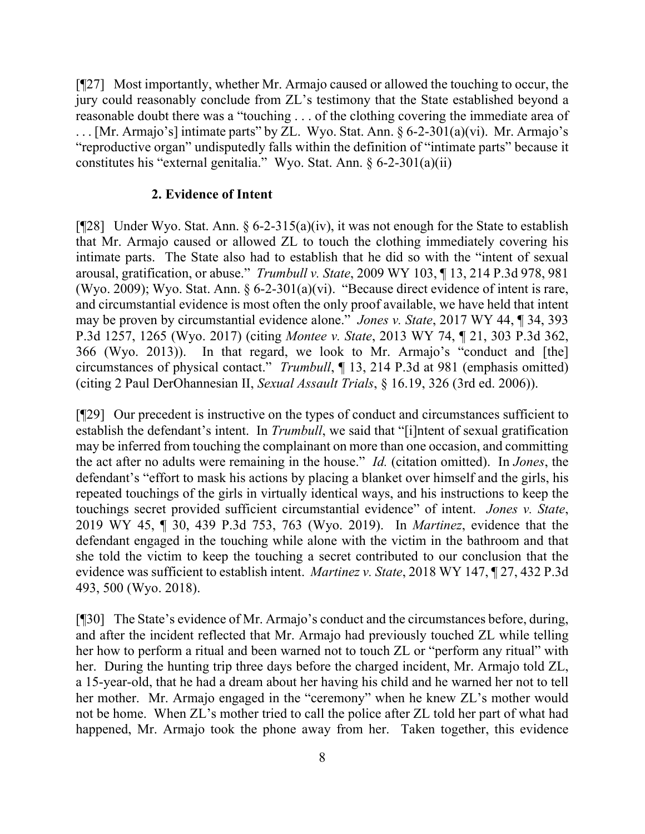[¶27] Most importantly, whether Mr. Armajo caused or allowed the touching to occur, the jury could reasonably conclude from ZL's testimony that the State established beyond a reasonable doubt there was a "touching . . . of the clothing covering the immediate area of . . . [Mr. Armajo's] intimate parts" by ZL. Wyo. Stat. Ann. § 6-2-301(a)(vi). Mr. Armajo's "reproductive organ" undisputedly falls within the definition of "intimate parts" because it constitutes his "external genitalia." Wyo. Stat. Ann. § 6-2-301(a)(ii)

#### **2. Evidence of Intent**

[¶28] Under Wyo. Stat. Ann. § 6-2-315(a)(iv), it was not enough for the State to establish that Mr. Armajo caused or allowed ZL to touch the clothing immediately covering his intimate parts. The State also had to establish that he did so with the "intent of sexual arousal, gratification, or abuse." *Trumbull v. State*, 2009 WY 103, ¶ 13, 214 P.3d 978, 981 (Wyo. 2009); Wyo. Stat. Ann. § 6-2-301(a)(vi). "Because direct evidence of intent is rare, and circumstantial evidence is most often the only proof available, we have held that intent may be proven by circumstantial evidence alone." *Jones v. State*, 2017 WY 44, ¶ 34, 393 P.3d 1257, 1265 (Wyo. 2017) (citing *Montee v. State*, 2013 WY 74, ¶ 21, 303 P.3d 362, 366 (Wyo. 2013)). In that regard, we look to Mr. Armajo's "conduct and [the] circumstances of physical contact." *Trumbull*, ¶ 13, 214 P.3d at 981 (emphasis omitted) (citing 2 Paul DerOhannesian II, *Sexual Assault Trials*, § 16.19, 326 (3rd ed. 2006)).

[¶29] Our precedent is instructive on the types of conduct and circumstances sufficient to establish the defendant's intent. In *Trumbull*, we said that "[i]ntent of sexual gratification may be inferred from touching the complainant on more than one occasion, and committing the act after no adults were remaining in the house." *Id.* (citation omitted). In *Jones*, the defendant's "effort to mask his actions by placing a blanket over himself and the girls, his repeated touchings of the girls in virtually identical ways, and his instructions to keep the touchings secret provided sufficient circumstantial evidence" of intent. *Jones v. State*, 2019 WY 45, ¶ 30, 439 P.3d 753, 763 (Wyo. 2019). In *Martinez*, evidence that the defendant engaged in the touching while alone with the victim in the bathroom and that she told the victim to keep the touching a secret contributed to our conclusion that the evidence was sufficient to establish intent. *Martinez v. State*, 2018 WY 147, ¶ 27, 432 P.3d 493, 500 (Wyo. 2018).

[¶30] The State's evidence of Mr. Armajo's conduct and the circumstances before, during, and after the incident reflected that Mr. Armajo had previously touched ZL while telling her how to perform a ritual and been warned not to touch ZL or "perform any ritual" with her. During the hunting trip three days before the charged incident, Mr. Armajo told ZL, a 15-year-old, that he had a dream about her having his child and he warned her not to tell her mother. Mr. Armajo engaged in the "ceremony" when he knew ZL's mother would not be home. When ZL's mother tried to call the police after ZL told her part of what had happened, Mr. Armajo took the phone away from her. Taken together, this evidence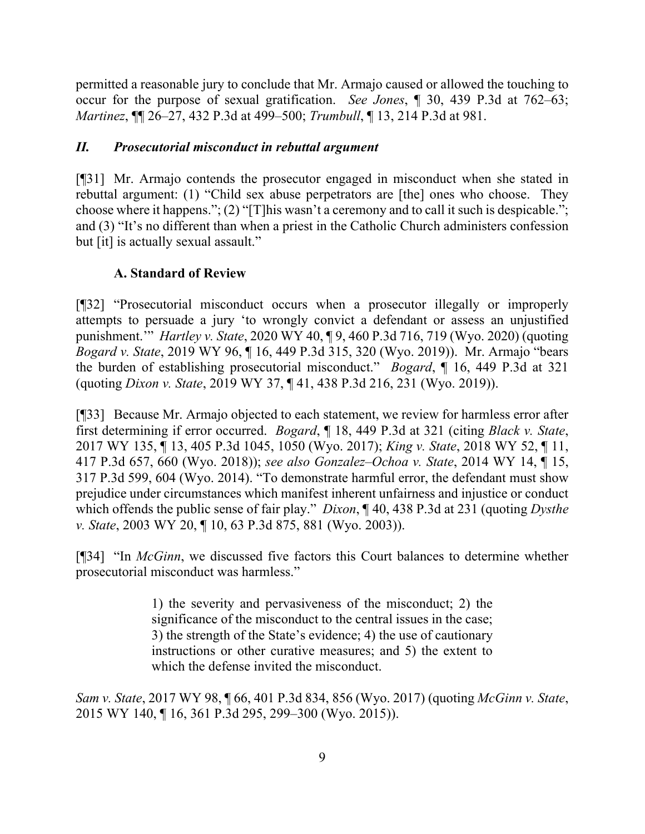permitted a reasonable jury to conclude that Mr. Armajo caused or allowed the touching to occur for the purpose of sexual gratification. *See Jones*, ¶ 30, 439 P.3d at 762–63; *Martinez*, ¶¶ 26–27, 432 P.3d at 499–500; *Trumbull*, ¶ 13, 214 P.3d at 981.

# *II. Prosecutorial misconduct in rebuttal argument*

[¶31] Mr. Armajo contends the prosecutor engaged in misconduct when she stated in rebuttal argument: (1) "Child sex abuse perpetrators are [the] ones who choose. They choose where it happens."; (2) "[T]his wasn't a ceremony and to call it such is despicable."; and (3) "It's no different than when a priest in the Catholic Church administers confession but [it] is actually sexual assault."

## **A. Standard of Review**

[¶32] "Prosecutorial misconduct occurs when a prosecutor illegally or improperly attempts to persuade a jury 'to wrongly convict a defendant or assess an unjustified punishment.'" *Hartley v. State*, 2020 WY 40, ¶ 9, 460 P.3d 716, 719 (Wyo. 2020) (quoting *Bogard v. State*, 2019 WY 96, ¶ 16, 449 P.3d 315, 320 (Wyo. 2019)). Mr. Armajo "bears the burden of establishing prosecutorial misconduct." *Bogard*, ¶ 16, 449 P.3d at 321 (quoting *Dixon v. State*, 2019 WY 37, ¶ 41, 438 P.3d 216, 231 (Wyo. 2019)).

[¶33] Because Mr. Armajo objected to each statement, we review for harmless error after first determining if error occurred. *Bogard*, ¶ 18, 449 P.3d at 321 (citing *Black v. State*, 2017 WY 135, ¶ 13, 405 P.3d 1045, 1050 (Wyo. 2017); *King v. State*, 2018 WY 52, ¶ 11, 417 P.3d 657, 660 (Wyo. 2018)); *see also Gonzalez–Ochoa v. State*, 2014 WY 14, ¶ 15, 317 P.3d 599, 604 (Wyo. 2014). "To demonstrate harmful error, the defendant must show prejudice under circumstances which manifest inherent unfairness and injustice or conduct which offends the public sense of fair play." *Dixon*, ¶ 40, 438 P.3d at 231 (quoting *Dysthe v. State*, 2003 WY 20, ¶ 10, 63 P.3d 875, 881 (Wyo. 2003)).

[¶34] "In *McGinn*, we discussed five factors this Court balances to determine whether prosecutorial misconduct was harmless."

> 1) the severity and pervasiveness of the misconduct; 2) the significance of the misconduct to the central issues in the case; 3) the strength of the State's evidence; 4) the use of cautionary instructions or other curative measures; and 5) the extent to which the defense invited the misconduct.

*Sam v. State*, 2017 WY 98, ¶ 66, 401 P.3d 834, 856 (Wyo. 2017) (quoting *McGinn v. State*, 2015 WY 140, ¶ 16, 361 P.3d 295, 299–300 (Wyo. 2015)).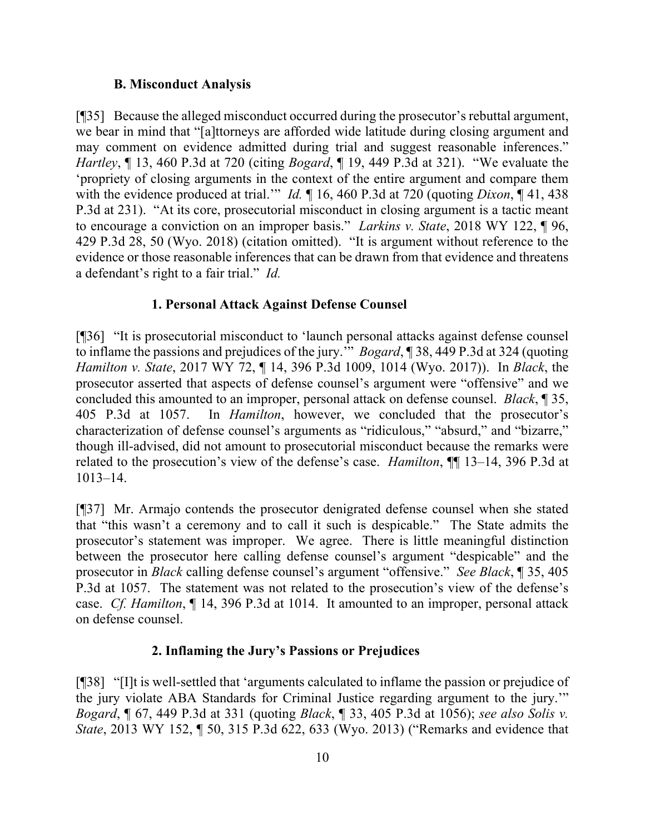### **B. Misconduct Analysis**

[¶35] Because the alleged misconduct occurred during the prosecutor's rebuttal argument, we bear in mind that "[a]ttorneys are afforded wide latitude during closing argument and may comment on evidence admitted during trial and suggest reasonable inferences." *Hartley*, ¶ 13, 460 P.3d at 720 (citing *Bogard*, ¶ 19, 449 P.3d at 321). "We evaluate the 'propriety of closing arguments in the context of the entire argument and compare them with the evidence produced at trial.'" *Id.* ¶ 16, 460 P.3d at 720 (quoting *Dixon*, ¶ 41, 438 P.3d at 231). "At its core, prosecutorial misconduct in closing argument is a tactic meant to encourage a conviction on an improper basis." *Larkins v. State*, 2018 WY 122, ¶ 96, 429 P.3d 28, 50 (Wyo. 2018) (citation omitted). "It is argument without reference to the evidence or those reasonable inferences that can be drawn from that evidence and threatens a defendant's right to a fair trial." *Id.*

## **1. Personal Attack Against Defense Counsel**

[¶36] "It is prosecutorial misconduct to 'launch personal attacks against defense counsel to inflame the passions and prejudices of the jury.'" *Bogard*, ¶ 38, 449 P.3d at 324 (quoting *Hamilton v. State*, 2017 WY 72, ¶ 14, 396 P.3d 1009, 1014 (Wyo. 2017)). In *Black*, the prosecutor asserted that aspects of defense counsel's argument were "offensive" and we concluded this amounted to an improper, personal attack on defense counsel. *Black*, ¶ 35, 405 P.3d at 1057. In *Hamilton*, however, we concluded that the prosecutor's characterization of defense counsel's arguments as "ridiculous," "absurd," and "bizarre," though ill-advised, did not amount to prosecutorial misconduct because the remarks were related to the prosecution's view of the defense's case. *Hamilton*, ¶¶ 13–14, 396 P.3d at 1013–14.

[¶37] Mr. Armajo contends the prosecutor denigrated defense counsel when she stated that "this wasn't a ceremony and to call it such is despicable." The State admits the prosecutor's statement was improper. We agree. There is little meaningful distinction between the prosecutor here calling defense counsel's argument "despicable" and the prosecutor in *Black* calling defense counsel's argument "offensive." *See Black*, ¶ 35, 405 P.3d at 1057. The statement was not related to the prosecution's view of the defense's case. *Cf. Hamilton*, ¶ 14, 396 P.3d at 1014. It amounted to an improper, personal attack on defense counsel.

## **2. Inflaming the Jury's Passions or Prejudices**

[¶38] "[I]t is well-settled that 'arguments calculated to inflame the passion or prejudice of the jury violate ABA Standards for Criminal Justice regarding argument to the jury.'" *Bogard*, ¶ 67, 449 P.3d at 331 (quoting *Black*, ¶ 33, 405 P.3d at 1056); *see also Solis v. State*, 2013 WY 152, ¶ 50, 315 P.3d 622, 633 (Wyo. 2013) ("Remarks and evidence that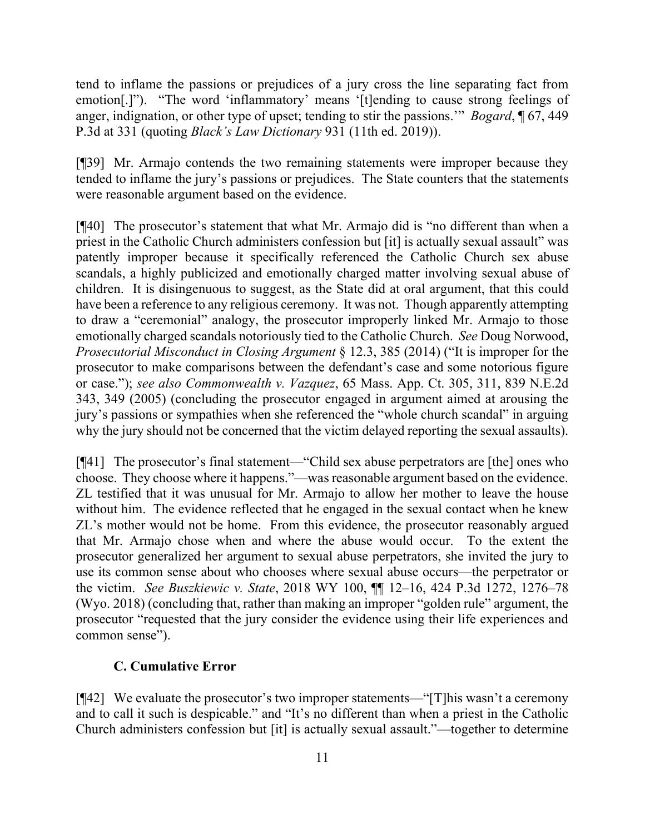tend to inflame the passions or prejudices of a jury cross the line separating fact from emotion[.]"). "The word 'inflammatory' means '[t]ending to cause strong feelings of anger, indignation, or other type of upset; tending to stir the passions.'" *Bogard*, ¶ 67, 449 P.3d at 331 (quoting *Black's Law Dictionary* 931 (11th ed. 2019)).

[¶39] Mr. Armajo contends the two remaining statements were improper because they tended to inflame the jury's passions or prejudices. The State counters that the statements were reasonable argument based on the evidence.

[¶40] The prosecutor's statement that what Mr. Armajo did is "no different than when a priest in the Catholic Church administers confession but [it] is actually sexual assault" was patently improper because it specifically referenced the Catholic Church sex abuse scandals, a highly publicized and emotionally charged matter involving sexual abuse of children. It is disingenuous to suggest, as the State did at oral argument, that this could have been a reference to any religious ceremony. It was not. Though apparently attempting to draw a "ceremonial" analogy, the prosecutor improperly linked Mr. Armajo to those emotionally charged scandals notoriously tied to the Catholic Church. *See* Doug Norwood, *Prosecutorial Misconduct in Closing Argument* § 12.3, 385 (2014) ("It is improper for the prosecutor to make comparisons between the defendant's case and some notorious figure or case."); *see also Commonwealth v. Vazquez*, 65 Mass. App. Ct. 305, 311, 839 N.E.2d 343, 349 (2005) (concluding the prosecutor engaged in argument aimed at arousing the jury's passions or sympathies when she referenced the "whole church scandal" in arguing why the jury should not be concerned that the victim delayed reporting the sexual assaults).

[¶41] The prosecutor's final statement—"Child sex abuse perpetrators are [the] ones who choose. They choose where it happens."—was reasonable argument based on the evidence. ZL testified that it was unusual for Mr. Armajo to allow her mother to leave the house without him. The evidence reflected that he engaged in the sexual contact when he knew ZL's mother would not be home. From this evidence, the prosecutor reasonably argued that Mr. Armajo chose when and where the abuse would occur. To the extent the prosecutor generalized her argument to sexual abuse perpetrators, she invited the jury to use its common sense about who chooses where sexual abuse occurs—the perpetrator or the victim. *See Buszkiewic v. State*, 2018 WY 100, ¶¶ 12–16, 424 P.3d 1272, 1276–78 (Wyo. 2018) (concluding that, rather than making an improper "golden rule" argument, the prosecutor "requested that the jury consider the evidence using their life experiences and common sense").

### **C. Cumulative Error**

[¶42] We evaluate the prosecutor's two improper statements—"[T]his wasn't a ceremony and to call it such is despicable." and "It's no different than when a priest in the Catholic Church administers confession but [it] is actually sexual assault."—together to determine